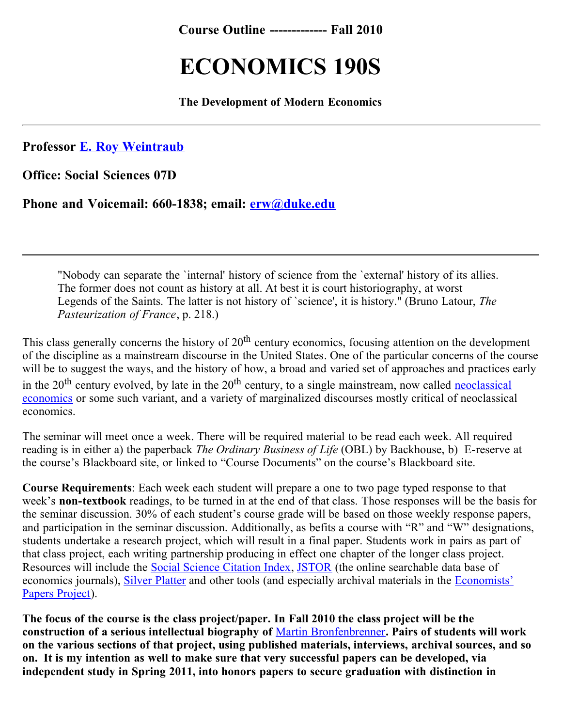**Course Outline ------------- Fall 2010**

## **ECONOMICS 190S**

**The Development of Modern Economics**

**Professor [E. Roy Weintraub](http://econ.duke.edu/~erw/~erw/erw.bio.html)**

**Office: Social Sciences 07D**

**Phone and Voicemail: 660-1838; email: [erw@duke.edu](mailto:erw@duke.edu)**

"Nobody can separate the `internal' history of science from the `external' history of its allies. The former does not count as history at all. At best it is court historiography, at worst Legends of the Saints. The latter is not history of `science', it is history." (Bruno Latour, *The Pasteurization of France*, p. 218.)

This class generally concerns the history of  $20<sup>th</sup>$  century economics, focusing attention on the development of the discipline as a mainstream discourse in the United States. One of the particular concerns of the course will be to suggest the ways, and the history of how, a broad and varied set of approaches and practices early in the  $20<sup>th</sup>$  century evolved, by late in the  $20<sup>th</sup>$  century, to a single mainstream, now called neoclassical economics or some such variant, and a variety of marginalized discourses mostly critical of neoclassical economics.

The seminar will meet once a week. There will be required material to be read each week. All required reading is in either a) the paperback *The Ordinary Business of Life* (OBL) by Backhouse, b) E-reserve at the course's Blackboard site, or linked to "Course Documents" on the course's Blackboard site.

**Course Requirements**: Each week each student will prepare a one to two page typed response to that week's **non-textbook** readings, to be turned in at the end of that class. Those responses will be the basis for the seminar discussion. 30% of each student's course grade will be based on those weekly response papers, and participation in the seminar discussion. Additionally, as befits a course with "R" and "W" designations, students undertake a research project, which will result in a final paper. Students work in pairs as part of that class project, each writing partnership producing in effect one chapter of the longer class project. Resources will include the [Social Science Citation Index](http://www.webofscience.com/), [JSTOR](http://www.jstor.org/cgi-bin/jstor/listjournal) (the online searchable data base of [economics journals\), S](http://scriptorium.lib.duke.edu/economists/)[ilver Platter](http://web5.silverplatter.com/webspirs/start.ws?customer=c9867&databases=(ECON)) [and other tools \(and especially archival materials in the Economists'](http://scriptorium.lib.duke.edu/economists/) Papers Project).

**The focus of the course is the class project/paper. In Fall 2010 the class project will be the construction of a serious intellectual biography of** [Martin Bronfenbrenner](http://econ.duke.edu/about/history/individuals/martin-bronfenbrenner)**. Pairs of students will work on the various sections of that project, using published materials, interviews, archival sources, and so on. It is my intention as well to make sure that very successful papers can be developed, via independent study in Spring 2011, into honors papers to secure graduation with distinction in**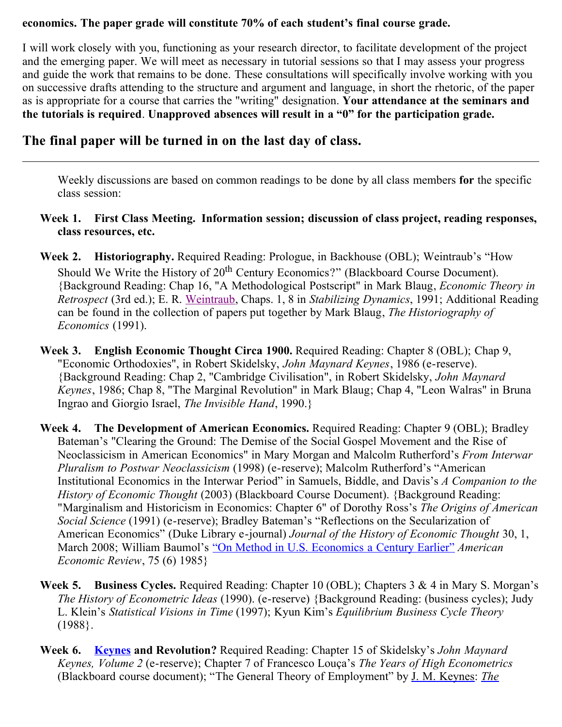## **economics. The paper grade will constitute 70% of each student's final course grade.**

I will work closely with you, functioning as your research director, to facilitate development of the project and the emerging paper. We will meet as necessary in tutorial sessions so that I may assess your progress and guide the work that remains to be done. These consultations will specifically involve working with you on successive drafts attending to the structure and argument and language, in short the rhetoric, of the paper as is appropriate for a course that carries the "writing" designation. **Your attendance at the seminars and the tutorials is required**. **Unapproved absences will result in a "0" for the participation grade.**

## **The final paper will be turned in on the last day of class.**

Weekly discussions are based on common readings to be done by all class members **for** the specific class session:

## **Week 1. First Class Meeting. Information session; discussion of class project, reading responses, class resources, etc.**

- **Week 2. Historiography.** Required Reading: Prologue, in Backhouse (OBL); Weintraub's "How Should We Write the History of 20<sup>th</sup> Century Economics?" (Blackboard Course Document). {Background Reading: Chap 16, "A Methodological Postscript" in Mark Blaug, *Economic Theory in Retrospect* (3rd ed.); E. R. [Weintraub](http://www.econ.duke.edu/~erw/erw.homepage.html), Chaps. 1, 8 in *Stabilizing Dynamics*, 1991; Additional Reading can be found in the collection of papers put together by Mark Blaug, *The Historiography of Economics* (1991).
- **Week 3. English Economic Thought Circa 1900.** Required Reading: Chapter 8 (OBL); Chap 9, "Economic Orthodoxies", in Robert Skidelsky, *John Maynard Keynes*, 1986 (e-reserve). {Background Reading: Chap 2, "Cambridge Civilisation", in Robert Skidelsky, *John Maynard Keynes*, 1986; Chap 8, "The Marginal Revolution" in Mark Blaug; Chap 4, "Leon Walras" in Bruna Ingrao and Giorgio Israel, *The Invisible Hand*, 1990.}
- **Week 4. The Development of American Economics.** Required Reading: Chapter 9 (OBL); Bradley Bateman's "Clearing the Ground: The Demise of the Social Gospel Movement and the Rise of Neoclassicism in American Economics" in Mary Morgan and Malcolm Rutherford's *From Interwar Pluralism to Postwar Neoclassicism* (1998) (e-reserve); Malcolm Rutherford's "American Institutional Economics in the Interwar Period" in Samuels, Biddle, and Davis's *A Companion to the History of Economic Thought* (2003) (Blackboard Course Document). {Background Reading: "Marginalism and Historicism in Economics: Chapter 6" of Dorothy Ross's *The Origins of American Social Science* (1991) (e-reserve); Bradley Bateman's "Reflections on the Secularization of American Economics" (Duke Library e-journal) *Journal of the History of Economic Thought* 30, 1, March 2008; William Baumol's ["On Method in U.S. Economics a Century Earlier"](http://www.jstor.org/view/00028282/di950078/95p0008b/) *American Economic Review*, 75 (6) 1985}
- **Week 5. Business Cycles.** Required Reading: Chapter 10 (OBL); Chapters 3 & 4 in Mary S. Morgan's *The History of Econometric Ideas* (1990). (e-reserve) {Background Reading: (business cycles); Judy L. Klein's *Statistical Visions in Time* (1997); Kyun Kim's *Equilibrium Business Cycle Theory* (1988}.
- **Week 6. [Keynes](http://econ161.berkeley.edu/Economists/keynes.html) and Revolution?** Required Reading: Chapter 15 of Skidelsky's *John Maynard Keynes, Volume 2* (e-reserve); Chapter 7 of Francesco Louça's *The Years of High Econometrics* [\(Blackboard course document\); "The](http://www.jstor.org/browse/00335533) General Theory of Employment" by [J. M. Keynes](http://www.jstor.org/search/BasicResults?Search=Search&Query=aa:%22J.%20M.%20Keynes%22&hp=25&si=1&wc=on): *The*